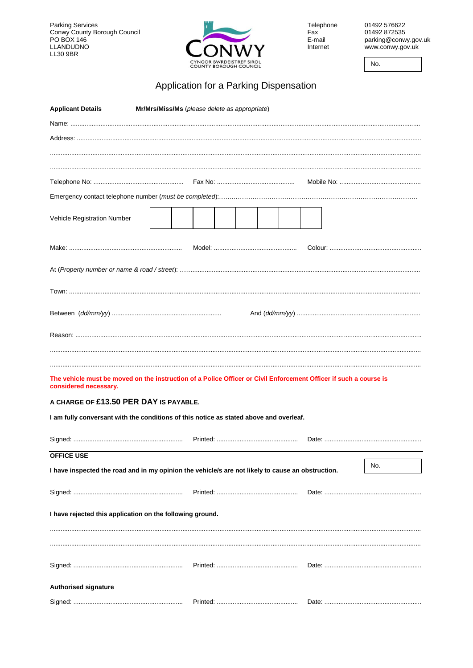Parking Services<br>Conwy County Borough Council<br>PO BOX 146<br>LLANDUDNO<br>LL30 9BR



Telephone<br>Fax E-mail Internet

01492 576622 01492872535 parking@conwy.gov.uk www.conwy.gov.uk

No.

## Application for a Parking Dispensation

| <b>Applicant Details</b>                                                                                                                   | Mr/Mrs/Miss/Ms (please delete as appropriate)                                                     |  |     |
|--------------------------------------------------------------------------------------------------------------------------------------------|---------------------------------------------------------------------------------------------------|--|-----|
|                                                                                                                                            |                                                                                                   |  |     |
|                                                                                                                                            |                                                                                                   |  |     |
|                                                                                                                                            |                                                                                                   |  |     |
|                                                                                                                                            |                                                                                                   |  |     |
|                                                                                                                                            |                                                                                                   |  |     |
|                                                                                                                                            |                                                                                                   |  |     |
|                                                                                                                                            |                                                                                                   |  |     |
| Vehicle Registration Number                                                                                                                |                                                                                                   |  |     |
|                                                                                                                                            |                                                                                                   |  |     |
|                                                                                                                                            |                                                                                                   |  |     |
|                                                                                                                                            |                                                                                                   |  |     |
|                                                                                                                                            |                                                                                                   |  |     |
|                                                                                                                                            |                                                                                                   |  |     |
|                                                                                                                                            |                                                                                                   |  |     |
|                                                                                                                                            |                                                                                                   |  |     |
|                                                                                                                                            |                                                                                                   |  |     |
|                                                                                                                                            |                                                                                                   |  |     |
|                                                                                                                                            |                                                                                                   |  |     |
| The vehicle must be moved on the instruction of a Police Officer or Civil Enforcement Officer if such a course is<br>considered necessary. |                                                                                                   |  |     |
| A CHARGE OF £13.50 PER DAY IS PAYABLE.                                                                                                     |                                                                                                   |  |     |
| I am fully conversant with the conditions of this notice as stated above and overleaf.                                                     |                                                                                                   |  |     |
|                                                                                                                                            |                                                                                                   |  |     |
|                                                                                                                                            |                                                                                                   |  |     |
| <b>OFFICE USE</b>                                                                                                                          |                                                                                                   |  |     |
|                                                                                                                                            | I have inspected the road and in my opinion the vehicle/s are not likely to cause an obstruction. |  | No. |
|                                                                                                                                            |                                                                                                   |  |     |
|                                                                                                                                            |                                                                                                   |  |     |
| I have rejected this application on the following ground.                                                                                  |                                                                                                   |  |     |
|                                                                                                                                            |                                                                                                   |  |     |
|                                                                                                                                            |                                                                                                   |  |     |
|                                                                                                                                            |                                                                                                   |  |     |
|                                                                                                                                            |                                                                                                   |  |     |
| <b>Authorised signature</b>                                                                                                                |                                                                                                   |  |     |
|                                                                                                                                            |                                                                                                   |  |     |
|                                                                                                                                            |                                                                                                   |  |     |